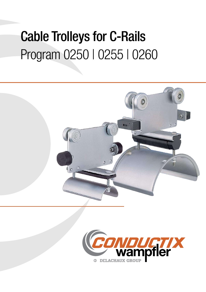# Cable Trolleys for C-Rails Program 0250 | 0255 | 0260



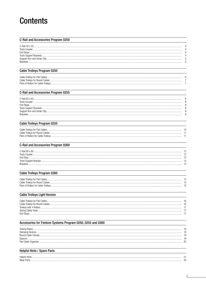## **Contents**

### **C-Rail and Accessories Program 0250**

| C-Bail 50 x 50<br><b>Track Coupler</b><br><b>Fnd Stops</b><br><b>Rrackets</b> |
|-------------------------------------------------------------------------------|
|-------------------------------------------------------------------------------|

### **Cable Trolleys Program 0250**

| Cable Trollevs for Flat Cables      |  |
|-------------------------------------|--|
| Cable Trollevs for Round Cables.    |  |
| Pairs of Rollers for Cable Trollevs |  |
|                                     |  |

### C-Rail and Accessories Program 0255

| C-Bail 63 x 63  |  |
|-----------------|--|
| Track Coupler   |  |
|                 |  |
|                 |  |
|                 |  |
| <b>Rrackets</b> |  |
|                 |  |

## Cable Trolleys Program 0255

| Cable Trollevs for Flat Cables.     |  |
|-------------------------------------|--|
| Cable Trollevs for Round Cables     |  |
| Pairs of Rollers for Cable Trollevs |  |

### C-Rail and Accessories Program 0260

| C-Rail 80 x 80<br><b>Track Coupler</b><br>End Stop<br><b>Rrackets</b> |  |
|-----------------------------------------------------------------------|--|
|                                                                       |  |

## Cable Trolleys Program 0260

| Cable Trollevs for Flat Cables             |  |
|--------------------------------------------|--|
| Cable Trollevs for Round Cables            |  |
| <b>Pairs of Rollers for Cable Trollevs</b> |  |
|                                            |  |

### **Cable Trolleys Light Version**

| Cable Trollevs for Flat Cables |  |
|--------------------------------|--|
|                                |  |
| Trollevs with 4 Rollers        |  |
| Spring Safety Hook             |  |
|                                |  |

### Accessories for Festoon Systems Program 0250, 0255 and 0260

| Towing Rop         |  |
|--------------------|--|
|                    |  |
| Round Cable Clamps |  |
|                    |  |
|                    |  |
|                    |  |

## **Helpful Hints / Spare Parts**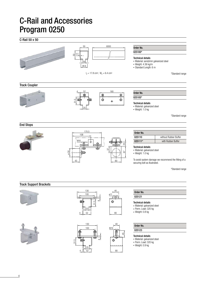## C-Rail 50 x 50



### \*Standard range

### Track Coupler







ø 11

 $\oplus$ 

 $M10$ 

 $\hat{\mathbf{\Theta}}$ 

80

40

 $\overline{15}$ 

80

 $40$ 

### Order No.  $025105*$

Technical details

• Material: galvanized steel

• Weight: 1.0 kg

\*Standard range

## End Stops





Order No. 025110 without Rubber Buffer 025111\* vith Rubber Buffer

#### Technical details

• Material: galvanized steel

• Weight: 1.0 kg

To avoid system damage we recommend the fitting of a securing bolt as illustrated.

\*Standard range

## Track Support Brackets









## Order No.

025121

### Technical details

- Material: galvanized steel
- Perm. Load: 320 kg
- Weight: 0.8 kg

Order No. 025123

### Technical details

- Material: galvanized steel
- Perm. Load: 320 kg
- Weight: 0.9 kg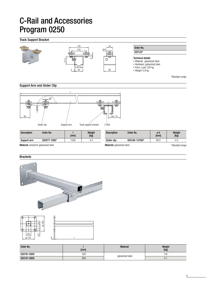## Track Support Bracket



Support Arm and Girder Clip



[mm]

| wur uraunut    | <b>U</b> I KII     |                |                 |                |
|----------------|--------------------|----------------|-----------------|----------------|
| Weight<br>[kg] | <b>Description</b> | Order No.      | ød<br>[mm]      | Weight<br>[kg] |
| 4.4            | Girder clip        | 020180-12/550* | M <sub>12</sub> | 0.3            |
|                |                    |                |                 |                |

Material: sendzimir galvanized steel

Description Order No. and I

Support arm 020277-1000\* 1000 4.4

| 020180-12/550*                    | M <sub>12</sub> | 0.3             |
|-----------------------------------|-----------------|-----------------|
| <b>Material:</b> galvanized steel |                 | *Standard range |
|                                   |                 |                 |

### **Brackets**





| Order No.   | [mm] | <b>Material</b>  | Weight<br>[kg] |
|-------------|------|------------------|----------------|
| 020191-0500 | 500  |                  | 3.8            |
| 020191-0800 | 800  | galvanized steel | h<br>J.        |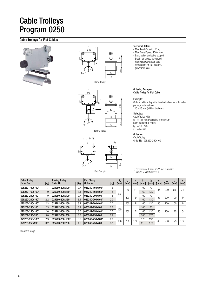## Cable Trolleys Program 0250

## Cable Trolleys for Flat Cables





Cable Trolley



Towing Trolley



End Clamp<sup>1)</sup>

Technical details

- Max. Load Capacity: 50 kg
- Max. Travel Speed 100 m/min
- Basic trolley and cable support: Steel, hot-dipped galvanized
- Hardware: Galvanized steel • Standard roller: Ball bearing, galvanized steel

#### Ordering Example: Cable Trolley for Flat Cable

### Example:

Order a cable trolley with standard-rollers for a flat cable package with a size of 110 x 45 mm (width x thickness).

### Selected:

Cable Trolley with  $d_a = 125$  mm (According to minimum bend diameter of cable)  $b_2$  = 130 mm<br>s = 55 mm

### Order No.:

Cable Trolley Order No.: 025252-250x160

*1) For assembly- 2 holes ø 12.5 mm to be drilled into the C-Rail at distance a.*

| <b>Cable Trolley</b><br>Order No. | [kg] | <b>Towing Trolley</b><br>Order No. | [kg] | <b>End Clamp</b><br>Order No. | [kg] | $d_{a}$<br>[mm] | 'w<br>[mm] | k<br>[mm] | b <sub>1</sub><br>[mm] | b <sub>2</sub><br>[mm] | s<br>[mm] | ιm<br>[mm] | ۱ę.<br>[mm] | a<br>[mm] |
|-----------------------------------|------|------------------------------------|------|-------------------------------|------|-----------------|------------|-----------|------------------------|------------------------|-----------|------------|-------------|-----------|
| 025250-160x100*                   | 1.7  | 025260-200x100*                    | 2.7  | 025240-160x100*               | 1.5  |                 | 160        | 84        | $100 -$                | 70                     | 35        | 200        | 80          | 74        |
| 025250-160x160*                   | 1.9  | 025260-200x160*                    | 3.1  | 025240-160x160*               | 1.8  | 80              |            |           | 160                    | 130                    |           |            |             |           |
| 025250-200x100                    | 1.9  | 025260-200x100                     | 2.7  | 025240-200x100                | 1.8  |                 | 200        | 124       | 100                    | 70                     | 55        | 200        | 100         | 114       |
| 025250-200x160*                   | 2.2  | 025260-200x160*                    | 3.1  | 025240-200x160*               | 2.0  |                 |            |           | 160                    | 130                    |           |            |             |           |
| 025252-200x160*                   | 2.3  | 025262-200x160*                    | 3.2  | 025242-200x160*               | 2.2  |                 | 200        | 124       | 160                    | 130                    | 30        | 200        | 100         | 114       |
| 025252-250x100                    | 2.3  | 025262-250x100                     | 3.1  | 025242-250x100                | 2.2  | 125             |            |           | 100                    | 70                     |           |            |             |           |
| 025252-250x160*                   | 2.6  | 025262-250x160*                    | 3.5  | 025242-250x160*               | 2.5  |                 | 250        | 174       | 160                    | 130                    | 55        | 250        | 125         | 164       |
| 025252-250x200                    | 3.0  | 025262-250x200                     | 3.8  | 025242-250x200                | 2.9  |                 |            |           | 200                    | 170                    |           |            |             |           |
| 025253-250x160*                   | 2.9  | 025263-250x160*                    | 3.8  | 025243-250x160*               | 2.8  | 160             | 250        | 174       | 175                    | 130                    | 40        | 250        | 125         | 164       |
| 025253-250x200                    | 3.2  | 025263-250x200                     | 4.0  | 025243-250x200                | 3.1  |                 |            |           | 215                    | 170                    |           |            |             |           |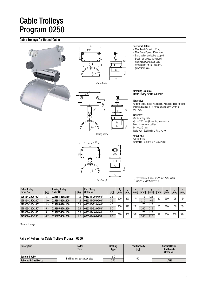## Cable Trolleys Program 0250

## Cable Trolleys for Round Cables





Cable Trolley

lm ø 40  $<sub>b</sub>$ </sub>  $\begin{picture}(180,10) \put(0,0){\line(1,0){155}} \put(10,0){\line(1,0){155}} \put(10,0){\line(1,0){155}} \put(10,0){\line(1,0){155}} \put(10,0){\line(1,0){155}} \put(10,0){\line(1,0){155}} \put(10,0){\line(1,0){155}} \put(10,0){\line(1,0){155}} \put(10,0){\line(1,0){155}} \put(10,0){\line(1,0){155}} \put(10,0){\line(1,0){155}}$  $\frac{1}{52}$   $\frac{1}{50}$   $\frac{1}{50}$ 

Towing Trolley

#### Technical details

- Max. Load Capacity: 50 kg
- Max. Travel Speed 100 m/min • Basic trolley and cable support:
- Steel, hot-dipped galvanized
- Hardware: Galvanized steel
- Standard roller: Ball bearing, galvanized steel

#### Ordering Example: Cable Trolley for Round Cable

#### Example:

283

smax.

Order a cable trolley with rollers with seal disks for several round cables ø 25 mm and a support width of 200 mm.

#### Selected:

Cable Trolley with  $d_a = 250$  mm (According to minimum bend diameter of cable)  $b_2$  = 215 mm Roller with Seal Disks 2 RS .../010

### Order No.:

Cable Trolley Order No.: 025355-320x250/010



*1) For assembly- 2 holes ø 12.5 mm to be drilled into the C-Rail at distance a.*

| <b>Cable Trolley</b><br>Order No. | [kg] | <b>Towing Trolley</b><br>Order No. | [kg] | <b>End Clamp</b><br>Order No. | [kg] | $d_{a}$<br>[mm | 'w<br>[mm] | k<br>[mm] | b,<br>[mm] | b <sub>2</sub><br>[mm] | S<br>[mm] | $\mathbf{m}$<br>[mm] | ١e<br>[mm] | a<br>[mm] |
|-----------------------------------|------|------------------------------------|------|-------------------------------|------|----------------|------------|-----------|------------|------------------------|-----------|----------------------|------------|-----------|
| 025354-250x160*                   | 3.7  | 025364-250x160*                    | 4.5  | 025344-250x160*               | 3.6  |                |            |           | 75         | 125                    |           |                      |            |           |
|                                   |      |                                    |      |                               |      | 200            | 250        | 174       |            |                        | 20        | 250                  | '25        | 164       |
| 025354-250x200*                   | 4.0  | 025364-250x200*                    | 4.8  | 025344-250x200*               | 3.9  |                |            |           | 215        | 165                    |           |                      |            |           |
| 025355-320x160*                   | 4.3  | 025365-320x160*                    | -5.  | 025345-320x160*               | 4.2  | 250            | 320        | 244       | 75         | 125                    | 25        | 320                  | 160        | 234       |
| 025355-320x250*                   | 5.3  | 025365-320x250*                    | 6.   | 025345-320x250*               | 5.2  |                |            |           | 265        | 215                    |           |                      |            |           |
| 025357-400x160                    | 5.1  | 025367-400x160                     | 5.9  | 025347-400x160                | 5.0  |                |            |           | 175        | 125                    | 32        |                      |            |           |
| 025357-400x250                    | 6.2  | 025367-400x250                     | 7.0  | 025347-400x250                | 6.0  | 320            | 400        | 324       | 265        | 215                    |           | 400                  | 200        | 314       |

\*Standard range

### Pairs of Rollers for Cable Trolleys Program 0250

| <b>Description</b>            | <b>Roller</b><br>Type          | <b>Sealing</b><br><b>Type</b> | <b>Load Capacity</b><br>[kg] | <b>Special Roller</b><br>Additional-<br>Order No. |
|-------------------------------|--------------------------------|-------------------------------|------------------------------|---------------------------------------------------|
| <b>Standard Roller</b>        |                                |                               | 50                           | -                                                 |
| <b>Roller with Seal Disks</b> | Ball Bearing, galvanized steel | 2 RS                          |                              | $-.010$                                           |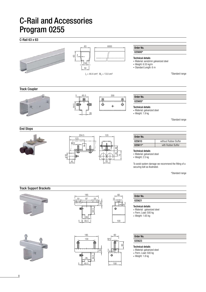## C-Rail 63 x 63

8



64.5

65.5

26

5

30

5

 $\ddot{\Phi}$ 

100

Technical details

- Material: galvanized steel • Perm. Load: 500 kg
- 
- Weight: 1.8 kg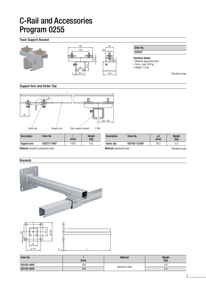## Track Support Bracket



### Support Arm and Girder Clip



| <b>Description</b>                          | Order No.    | [mm] | Weight<br>[kg] | <b>Description</b>                | Order No.      | ød<br>[mm] | Weight<br>[kg]  |
|---------------------------------------------|--------------|------|----------------|-----------------------------------|----------------|------------|-----------------|
| Support arm                                 | 020273-1000* | 1000 | 6.6            | Girder clip                       | 020180-12/550* | M12        | 0.3             |
| <b>Material:</b> sendzimir galvanized steel |              |      |                | <b>Material:</b> galvanized steel |                |            | *Standard range |

## **Brackets**





| Order No.   | [mm] | <b>Material</b>  | Weight<br>[kg] |
|-------------|------|------------------|----------------|
| 020192-0500 | 500  |                  | 4.8            |
| 020192-0800 | 800  | galvanized steel | 6.8            |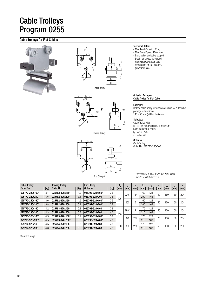## Cable Trolleys Program 0255

## Cable Trolleys for Flat Cables





133 smax.  $l_m$   $l_m$  - 2 ø 52 52  $b<sub>2</sub>$  $h$ da 93

Towing Trolley



### End Clamp<sup>1)</sup>

### Technical details

- Max. Load Capacity: 80 kg
- Max. Travel Speed 120 m/min
- Basic trolley and cable support:
- Steel, hot-dipped galvanized
- Hardware: Galvanized steel • Standard roller: Ball bearing, galvanized steel

#### Ordering Example: Cable Trolley for Flat Cable

#### Example:

Order a cable trolley with standard-rollers for a flat cable package with a size of 140 x 50 mm (width x thickness).

### Selected:

Cable Trolley with  $d_a = 125$  mm (According to minimum bend diameter of cable)  $b_2$  = 168 mm<br>s = 55 mm

### Order No.:

Cable Trolley Order No.: 025772-250x200

*1) For assembly- 2 holes ø 12.5 mm to be drilled into the C-Rail at distance a.*

| <b>Cable Trollev</b><br>Order No. | [kg] | <b>Towing Trollev</b><br>Order No. | [kg] | <b>End Clamp</b><br>Order No. | [kg] | $d_{a}$<br>[mm] | $I_{W}$<br>[mm] | ĸ<br>[mm] | b,<br>[mm] | b <sub>2</sub><br>[mm] | S<br>[mm] | 'm<br>[mm] | Чe.<br>[mm] | a<br>[mm] |
|-----------------------------------|------|------------------------------------|------|-------------------------------|------|-----------------|-----------------|-----------|------------|------------------------|-----------|------------|-------------|-----------|
| 025772-220x160*                   | 3.4  | 025782-320x160*                    | 4.9  | 025792-320x160*               | 3.5  |                 | 2201            | 154       | 160        | 128                    | 40        | 160        | 160         | 204       |
| 025772-220x200                    | 3.6  | 025782-320x200                     | 5.1  | 025792-320x200                | 3.8  | 125             |                 |           | 200        | 168                    |           |            |             |           |
| 025772-250x160*                   | 3.6  | 025782-320x160*                    | 4.9  | 025792-320x160*               | 3.5  |                 | 250             | 154       | 160        | 128                    | 55        | 160        | 160         | 204       |
| 025772-250x200*                   | 3.8  | 025782-320x200*                    | 5.1  | 025792-320x200*               | 3.8  |                 |                 |           | 200        | 168                    |           |            |             |           |
| 025773-290x160                    | 4.2  | 025783-320x160                     | 5.2  | 025793-320x160                | 3.8  |                 | 2901)           | 224       | 175        | 128                    | 55        | 160        | 160         | 204       |
| 025773-290x200                    | 4.3  | 025783-320x200                     | 5.3  | 025793-320x200                | 4.0  | 160             |                 |           | 215        | 168                    |           |            |             |           |
| 025773-320x160*                   | 4.3  | 025783-320x160*                    | 5.2  | 025793-320x160*               | 3.8  |                 | 320             | 224       | 175        | 128                    | 70        | 160        | 160         | 204       |
| 025773-320x200*                   | 4.5  | 025783-320x200*                    | 5.3  | 025793-320x200*               | 4.0  |                 |                 |           | 215        | 168                    |           |            |             |           |
| 025774-320x160                    | 4.5  | 025784-320x160                     | 5.3  | 025794-320x160                | 4.0  | 200             | 320             | 224       | 175        | 128                    | 50        | 160        | 160         | 204       |
| 025774-320x200                    | 4.8  | 025784-320x200                     | 5.6  | 025794-320x200                | 4.3  |                 |                 |           | 215        | 168                    |           |            |             |           |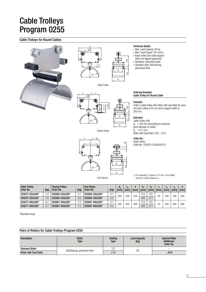## Cable Trolleys Program 0255

## Cable Trolleys for Round Cables









Towing Trolley



#### End Clamp<sup>1)</sup>

### Technical details

- Max. Load Capacity: 80 kg
- Max. Travel Speed 120 m/min • Basic trolley and cable support:
- Steel, hot-dipped galvanized
- Hardware: Galvanized steel
- Standard roller: Ball bearing, galvanized steel

#### Ordering Example: Cable Trolley for Round Cable

#### Example:

153

smax.

smax.

b2

**h** 

Order a cable trolley with rollers with seal disks for several round cables ø 25 mm and a support width of 200 mm.

#### Selected:

Cable Trolley with  $d_a = 250$  mm (According to minimum bend diameter of cable)  $b_2$  = 211 mm Roller with Seal Disks 2 RS .../015

### Order No.:

Cable Trolley Order No.: 025875-320x250/015

*1) For assembly- 2 holes ø 12.5 mm to be drilled into the C-Rail at distance a.*

| <b>Cable Trolley</b><br>Order No. | [kg] | <b>Towing Trolley</b><br>Order No. | [kg] | <b>End Clamp</b><br>Order No. | [kg] | $\mathtt{a}_{\mathtt{a}}$<br>[mm] | 'w<br>[mm] | [mm] | IJ1<br>[mm] | b,<br><b>Imml</b> | [mm] | 'm<br>[mm] | Iе.<br><b>Imml</b> | [mm] |
|-----------------------------------|------|------------------------------------|------|-------------------------------|------|-----------------------------------|------------|------|-------------|-------------------|------|------------|--------------------|------|
| 025875-320x200*                   | 5.3  | 025885-320x200*                    | 6.1  | 025895-320x200*               | 4.7  | 250                               | 320        | 224  | 215         | 161               | 25   | 160        | 160                | 204  |
| 025875-320x250*                   | 5.8  | 025885-320x250*                    | 6.6  | 025895-320x250*               | 5.3  |                                   |            |      | 265         | 211               |      |            |                    |      |
| 025877-400x200*                   | 6.2  | 025887-400x200*                    | .C   | 025897-400x200*               | 5.7  | 320                               | 400        | 304  | 215         | 161               | 32   | 200        | 200                | 284  |
| 025877-400x250*                   | 6.7  | 025887-400x250*                    | .ხ   | 025897-400x250*               | 6.2  |                                   |            |      | 265         | 211               |      |            |                    |      |

\*Standard range

## Pairs of Rollers for Cable Trolleys Program 0255

| <b>Description</b>            | Roller<br><b>Type</b>          | Sealing<br><b>Type</b> | <b>Load Capacity</b><br>[kg] | <b>Special Roller</b><br><b>Additional-</b><br>Order No. |
|-------------------------------|--------------------------------|------------------------|------------------------------|----------------------------------------------------------|
| <b>Standard Roller</b>        |                                |                        |                              |                                                          |
| <b>Roller with Seal Disks</b> | Ball Bearing, galvanized steel | 2 RS                   | 80                           | $-./015$                                                 |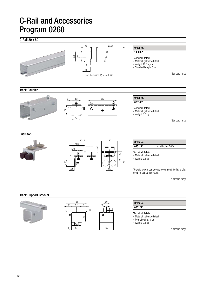## C-Rail 80 x 80



120

83

34

6

- Material: galvanized steel
- Perm. Load: 630 kg • Weight: 2.4 kg
	-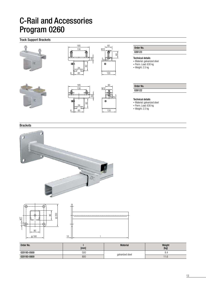## Track Support Brackets



### **Brackets**



| Order No.   | [mm] | <b>Material</b>  | Weight<br>[kg] |
|-------------|------|------------------|----------------|
| 020193-0500 | 500  |                  | ŏ.4            |
| 020193-0800 | 800  | galvanized steel | 11.6           |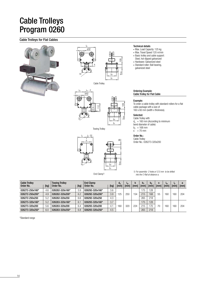## Cable Trolleys Program 0260

## Cable Trolleys for Flat Cables





Cable Trolley



Towing Trolley



### End Clamp<sup>1)</sup>

#### Technical details

- Max. Load Capacity: 125 kg
- Max. Travel Speed 120 m/min
- Basic trolley and cable support: Steel, hot-dipped galvanized
- Hardware: Galvanized steel
- Standard roller: Ball bearing, galvanized steel

#### Ordering Example: Cable Trolley for Flat Cable

### Example:

To order a cable trolley with standard-rollers for a flat cable package with a size of 160 x 60 mm (width x thickness).

### Selected:

Cable Trolley with  $d_a = 160$  mm (According to minimum bend diameter of cable)  $b_2$  = 168 mm<br>s = 70 mm

### Order No.:

Cable Trolley Order No.: 026273-320x200

*1) For assembly- 2 holes ø 12.5 mm to be drilled into the C-Rail at distance a.*

| <b>Cable Trolley</b><br>Order No. | [kg] | <b>Towing Trolley</b><br>Order No. | [kg] | <b>End Clamp</b><br>Order No. | [kg] | $d_{a}$<br>[mm] | <b>I<sub>W</sub></b><br>[mm] | [mm] | b <sub>1</sub><br><b>Imm</b> | b <sub>2</sub><br>[mm] | S<br>[mm] | 'm<br>[mm] | Iе.<br>[mm] | a<br>[mm] |
|-----------------------------------|------|------------------------------------|------|-------------------------------|------|-----------------|------------------------------|------|------------------------------|------------------------|-----------|------------|-------------|-----------|
| 026272-250x160*                   | 4.6  | 026282-320x160*                    | 5.9  | 026292-320x160*               | 3.6  |                 |                              |      | '75                          | 28                     |           |            |             |           |
| 026272-250x200*                   | 4.9  | 026282-320x200*                    | 6.2  | 026292-320x200*               | 3.9  | 25              | 250                          | 54   | 215                          | 68                     | 55        | 60         | 160         | 204       |
| 026272-250x250                    | 5.2  | 026282-320x250                     | 6.6  | 026292-320x250                | 4.3  |                 |                              |      | 265                          | 218                    |           |            |             |           |
| 026273-320x160*                   | 5.2  | 026283-320x160*                    | 6.   | 026293-320x160*               | 3.7  |                 |                              |      | 175                          | 128                    |           |            |             |           |
| 026273-320x200                    | 5.6  | 026283-320x200                     | 6.4  | 026293-320x200                | 4.1  | 160             | 320                          | 224  | 215                          | 70                     | 70        | '60        | 160         | 204       |
| 026273-320x250*                   | 6.0  | 026283-320x250*                    | 6.8  | 026293-320x250*               | 4.5  |                 |                              |      | 265                          | 218                    |           |            |             |           |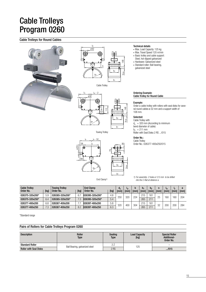## Cable Trolleys Program 0260

## Cable Trolleys for Round Cables





Cable Trolley



Towing Trolley



End Clamp<sup>1)</sup>

#### Technical details

- Max. Load Capacity: 125 kg
- Max. Travel Speed 120 m/min
- Basic trolley and cable support:
- Steel, hot-dipped galvanized
- Hardware: Galvanized steel • Standard roller: Ball bearing, galvanized steel

#### Ordering Example: Cable Trolley for Round Cable

#### Example:

Order a cable trolley with rollers with seal disks for several round cables ø 32 mm and a support width of 108 mm.

### Selected:

Cable Trolley with  $d_a = 320$  mm (According to minimum bend diameter of cable)  $b_2$  = 211 mm Roller with Seal Disks 2 RS .../015

### Order No.:

smax.

Cable Trolley Order No.: 026377-400x250/015

*1) For assembly- 2 holes ø 12.5 mm to be drilled into the C-Rail at distance a.*

| <b>Cable Trolley</b><br>Order No. | [kg] | <b>Towing Trolley</b><br>Order No. | [kg] | <b>End Clamp</b><br>Order No. | [kg] | $\mathsf{u}_\mathsf{a}$<br>[mm] | "w<br><b>Imm</b> | ı<br>[mm] | b <sub>1</sub><br>[mm] | b,<br>[mm] | S<br>[mm] | Ιm<br>[mm] | [mm] | [mm] |
|-----------------------------------|------|------------------------------------|------|-------------------------------|------|---------------------------------|------------------|-----------|------------------------|------------|-----------|------------|------|------|
| 026375-320x200*                   | 5.9  | 026385-320x200*                    | 6.   | 026395-320x200*               | 4.8  |                                 |                  |           | 215                    | 161        |           |            |      |      |
| 026375-320x250*                   | 6.4  | 026385-320x250*                    | ົດ   | 026395-320x250*               | 5.4  | 250                             | 320              | 224       | 265                    | 211        | 25        | 60         | 160  | 204  |
| 026377-400x200                    | 6.8  | 026387-400x200                     |      | 026397-400x200                | 5.8  | 320                             | 400              | 304       | 215                    | 161        | 32        | 200        | 200  | 284  |
| 026377-400x250                    | 7.3  | 026387-400x250                     | 8.2  | 026397-400x250                | 6.3  |                                 |                  |           | 265                    | 211        |           |            |      |      |

\*Standard range

### Pairs of Rollers for Cable Trolleys Program 0260

| <b>Description</b>            | Roller<br><b>Type</b>          | <b>Sealing</b><br><b>Type</b> | <b>Load Capacity</b><br>[kg] | <b>Special Roller</b><br>Additional-<br>Order No. |
|-------------------------------|--------------------------------|-------------------------------|------------------------------|---------------------------------------------------|
| <b>Standard Roller</b>        |                                |                               | 125                          |                                                   |
| <b>Roller with Seal Disks</b> | Ball Bearing, galvanized steel | 2 RS                          |                              | $-./015$                                          |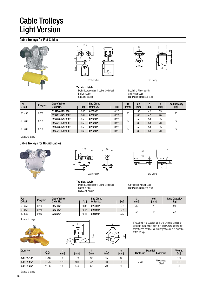## Cable Trolleys Light Version

## Cable Trolleys for Flat Cables









#### Technical details

• Support: plastic

• Main Body: sendzimir galvanized steel • Buffer: rubber

- Insulating Plate: plastic • Split Nut: plastic
	- Hardware: galvanized steel

| For<br>C-Rail   | Program | <b>Cable Trolley</b><br>[kg]<br>Order No. |      | <b>End Clamp</b><br>Order No. | [kg]<br>[mm] |    | ød<br>[mm] | a<br>[mm] | s<br>[mm] | <b>Load Capacity</b><br>[kg] |
|-----------------|---------|-------------------------------------------|------|-------------------------------|--------------|----|------------|-----------|-----------|------------------------------|
| 0250<br>50 x 50 |         | 025270-125x080*                           | 0.45 | 025290*                       | 0.20         | 25 | 50         | 42        | 35        | 20                           |
|                 |         | 025271-125x080*                           | 0.47 | 025291*                       | 0.23         |    | 80         | 42        | 20        |                              |
| 63 x 63         | 0255    | 025770-125x080*                           | 0.56 | 025290*                       | 0.20         | 32 | 50         | 38        | 35        | 32                           |
|                 |         | 025771-125x080*                           | 0.58 | 025291*                       | 0.23         |    | 80         | 38        | 20        |                              |
| 80 x 80         | 0260    | 026270-125x080*                           | 0.58 | 025290*                       | 0.22         |    | 50         | 38        | 35        | 32                           |
|                 |         | 026271-125x080*                           | 0.60 | 025291*                       | 0.25         | 32 | 80         | 38        | 20        |                              |

\*Standard range

### Cable Trolleys for Round Cables





### Technical details

- Main Body: sendzimir galvanized steel • Buffer: rubber
	-
- Ball Joint: plastic



- Connecting Plate: plastic
- Hardware: galvanized steel

| For<br>C-Rail | Program | <b>Cable Trolley</b><br>Order No. | [kg] | <b>End Clamp</b><br>Order No. | [kg] | [mm] | ød<br>[mm] | <b>Load Capacity</b><br>[kg] |
|---------------|---------|-----------------------------------|------|-------------------------------|------|------|------------|------------------------------|
| 50 x 50       | 0250    | 025306*                           | 0.35 | 025308*                       | 0.25 | 25   | 70         | 20                           |
| 63 x 63       | 0255    | 025806*                           | 0.45 | 025808*                       | 0.25 | 32   | 66         | 32                           |
| 80 x 80       | 0260    | 026306*                           | 0.48 | 025808*                       | 0.27 |      |            |                              |

\*Standard range







If required, it is possible to fit one or more similar or different sized cable clips to a trolley. When fitting different sized cable clips, the largest cable clip must be fitted on top.

| Order No.  | ød<br>[mm] | [mm] | [mm] | [mm] | [mm] | [mm] | <b>Material</b><br>Cable clip | <b>Fasteners</b>    | Weight<br>[kg] |
|------------|------------|------|------|------|------|------|-------------------------------|---------------------|----------------|
| 020131-16* | $10 - 16$  | 80   | 70   | 38   | 35   | 42   |                               |                     | 0.04           |
| 020131-25* | $17 - 25$  | 125  | 100  | 47   | 50   | 50   | Plastic                       | Galvanized<br>Steel | 0.06           |
| 020131-36* | $26 - 36$  | '80  | 140  | 58   | 70   | 64   |                               |                     | 0.12           |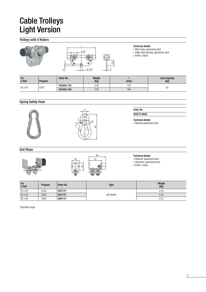## Cable Trolleys Light Version

## Trolleys with 4 Rollers



- Technical details
	- Main body: galvanized steel
	- Roller (ball bearing): galvanized steel
- Buffer: rubber

| For<br>C-Rail | Program | Order No.  | Weight<br>$[kg]$ | [mm] | <b>Load Capacity</b><br>[kg] |  |
|---------------|---------|------------|------------------|------|------------------------------|--|
| 50 x 50       |         | 025440-125 | 0.42             | 125  |                              |  |
|               | 0250    | 025440-160 | 0.50<br>160      |      | 50                           |  |

## Spring Safety Hook





## Order No.

020215-60x6

Technical details

• Material galvanized steel

End Stops





#### Technical details

• Material: galvanized steel

• Hardware: galvanized steel

• Buffer: rubber

| For<br>C-Rail | Program | Order No. | <b>Type</b> | Weight<br>[kg] |
|---------------|---------|-----------|-------------|----------------|
| 50 x 50       | 0250    | 025115*   |             | 0.20           |
| 63 x 63       | 0255    | 025115*   | with Buffer | 0.20           |
| 80 x 80       | 0260    | 026115*   |             | 0.22           |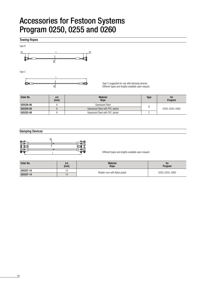## Accessories for Festoon Systems Program 0250, 0255 and 0260

Towing Ropes



Type C



Type C suggested for use with damping devices. Different types and lengths available upon request.

| Order No. | ød<br>[mm] | <b>Material</b><br>Rope          | <b>Type</b> | for<br>Program   |  |
|-----------|------------|----------------------------------|-------------|------------------|--|
| 020328-06 |            | Galvanized Steel                 | B           |                  |  |
| 020329-08 |            | Galvanized Steel with PVC Jacket |             | 0250, 0255, 0260 |  |
| 020325-08 |            | Galvanized Steel with PVC Jacket |             |                  |  |

### Damping Devices



Different types and lengths available upon request.

| Order No. | ød<br>[mm] | <b>Material</b><br>Rope       | for<br>Program   |  |
|-----------|------------|-------------------------------|------------------|--|
| 020337-10 | 10         |                               |                  |  |
| 020337-14 |            | Rubber core with Nylon jacket | 0250, 0255, 0260 |  |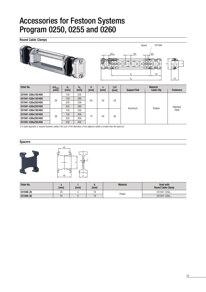## Accessories for Festoon Systems Program 0250, 0255 and 0260

Round Cable Clamps



| Order No.          | $\emptyset$ d <sub>max.</sub> | b.   | $b_{a}$ | h    | S    | $\Sigma$ d <sup>1</sup> ) | <b>Material</b>     |                   |                                  |  |  |
|--------------------|-------------------------------|------|---------|------|------|---------------------------|---------------------|-------------------|----------------------------------|--|--|
|                    | [mm]                          | [mm] | [mm]    | [mm] | [mm] | [mm]                      | <b>Support Rail</b> | <b>Cable Clip</b> | <b>Fasteners</b>                 |  |  |
| 031941-026x100/400 |                               | 100  | 236     |      | 30   | 34                        |                     | Rubber            | <b>Stainless</b><br><b>Steel</b> |  |  |
| 031941-026x150/400 | 26                            | 150  | 286     | 64   |      |                           | Aluminum            |                   |                                  |  |  |
| 031941-026x200/400 |                               | 200  | 336     |      |      |                           |                     |                   |                                  |  |  |
| 031941-026x250/400 |                               | 250  | 386     |      |      |                           |                     |                   |                                  |  |  |
| 031941-036x100/400 |                               | 100  | 256     |      |      |                           |                     |                   |                                  |  |  |
| 031941-036x150/400 | 36                            | 150  | 306     | 74   | 40   | 46                        |                     |                   |                                  |  |  |
| 031941-036x200/400 |                               | 200  | 356     |      |      |                           |                     |                   |                                  |  |  |
| 031941-036x250/400 |                               | 250  | 406     |      |      |                           |                     |                   |                                  |  |  |

*1) A cable separator is required between cables if the sum of the diameters of two adjacent cables is smaller than the value* Σ*d.*

### Spacers



| Order No. | [mm]     | [mm] | [mm] | <b>Material</b> | Used with<br><b>Round Cable Clamp</b> |
|-----------|----------|------|------|-----------------|---------------------------------------|
| 031946-26 | へに<br>دے |      | . O  | Plastic         | 031941-026x                           |
| 031946-36 | 35       |      | ∪ו   |                 | 031941-036x                           |

t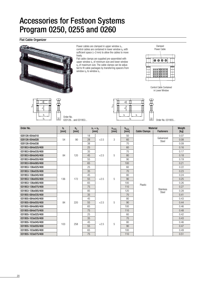## Accessories for Festoon Systems Program 0250, 0255 and 0260

### Flat Cable Organizer



Power cables are clamped in upper window  $s_1$ , control cables are contained in lower window  $s_2$  with sufficient space  $(>2$  mm) to allow the cables to move freely.

Flat cable clamps are supplied pre-assembled with upper window  $s_1$  of minimum size and lower window  $s<sub>2</sub>$  of maximum size. The cable clamps can be adjusted to fit cable packages by transferring spacers from window  $s_2$  to window  $s_1$ .



bi s1  $\delta$ 

hmax.





一日

| Order No.          | $b_i$<br>[mm] | $b_a$<br>[mm] | $S_1 + S_2$<br>[mm] |        | $S_{1min}$<br>[mm] | $h_{\text{max}}$<br>[mm] | <b>Material</b><br><b>Cable Clamps</b><br><b>Fasteners</b> |                           | Weigth<br>[kg] |
|--------------------|---------------|---------------|---------------------|--------|--------------------|--------------------------|------------------------------------------------------------|---------------------------|----------------|
|                    |               |               |                     |        |                    |                          |                                                            |                           |                |
| 020126-054x018     |               |               | 18                  |        |                    | 50                       |                                                            | Galvanized                | 0.07           |
| 020126-054x028     | 54            | 90            | 28                  | $+2.5$ | 3                  | 60                       |                                                            | Steel                     | 0.08           |
| 020126-054x038     |               |               | 38                  |        |                    | 70                       |                                                            |                           | 0.09           |
| 031953-084x025/400 |               |               | 25                  |        |                    | 60                       |                                                            |                           | 0.16           |
| 031953-084x035/400 |               |               | 35                  |        |                    | 70                       |                                                            |                           | 0.17           |
| 031953-084x045/400 | 84            | 120           | 45                  | $+2.5$ | 5                  | 80                       |                                                            |                           | 0.18           |
| 031953-084x055/400 |               |               | 55                  |        |                    | 90                       |                                                            |                           | 0.19           |
| 031953-084x065/400 |               |               | 65                  |        |                    | 100                      |                                                            |                           | 0.21           |
| 031953-136x025/400 |               |               | 25                  |        |                    | 60                       |                                                            |                           | 0.22           |
| 031953-136x035/400 |               | 172           | 35                  |        |                    | 70                       | Plastic                                                    |                           | 0.23           |
| 031953-136x045/400 |               |               | 45                  |        |                    | 80                       |                                                            |                           | 0.24           |
| 031953-136x055/400 | 136           |               | 55                  | $+2.5$ | 5                  | 90                       |                                                            |                           | 0.25           |
| 031953-136x065/400 |               |               | 65                  |        |                    | 100                      |                                                            |                           | 0.26           |
| 031953-136x075/400 |               |               | 75                  |        |                    | 110                      |                                                            | <b>Stainless</b><br>Steel | 0.27           |
| 031953-136x085/400 |               |               | 85                  |        |                    | 120                      |                                                            |                           | 0.28           |
| 031955-084x035/400 |               |               | 35                  |        |                    | 70                       |                                                            |                           | 0.41           |
| 031955-084x045/400 |               |               | 45                  |        |                    | 80                       |                                                            |                           | 0.43           |
| 031955-084x055/400 | 84            | 220           | 55                  | $+2.5$ | 5                  | 90                       |                                                            |                           | 0.44           |
| 031955-084x065/400 |               |               | 65                  |        |                    | 100                      |                                                            |                           | 0.46           |
| 031955-084x075/400 |               |               | 75                  |        |                    | 110                      |                                                            |                           | 0.48           |
| 031955-103x025/400 |               |               | 25                  |        |                    | 60                       |                                                            |                           | 0.42           |
| 031955-103x035/400 |               |               | 35                  |        |                    | 70                       |                                                            |                           | 0.43           |
| 031955-103x045/400 | 103           | 258           | 45                  | $+2.5$ | 5                  | 80                       |                                                            |                           | 0.46           |
| 031955-103x055/400 |               |               | 55                  |        |                    | 90                       |                                                            |                           | 0.47           |
| 031955-103x065/400 |               |               | 65                  |        |                    | 100                      |                                                            |                           | 0.49           |
| 031955-103x075/400 |               |               | 75                  |        |                    | 110                      |                                                            |                           | 0.51           |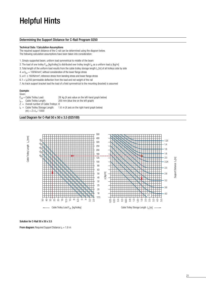### Determining the Support Distance for C-Rail Program 0250

#### Technical Data / Calculation Assumptions

The required support distance of the C-rail can be determined using the diagram below. The following calculation assumptions have been taken into consideration:

1. Simply-supported beam, uniform load symmetrical to middle of the beam

2. The load of one trolley F<sub>LW</sub> [kg/trolley] is distributed over trolley length  $I_W$  as a uniform load p [kg/m]

3. Total length of the uniform load results from the cable trolley storage length  $I_b$  [m] of all trolleys side by side

4.  $\sigma$  b<sub>zul</sub> = 100 N/mm<sup>2</sup>, without consideration of the lower flange stress

5.  $\sigma$  V  $\leq$  160 N/mm<sup>2</sup>, reference stress from bending stress and lower flange stress

6.  $f = I_0/250$  permissible deflection from the load and net weight of the rail

7. As track support bracket load the load of a field symmetrical to the mounting (bracket) is assumed

### Example:

Given:<br> $F_{LW} =$  Cable Trolley Load:

l

 $F_{\text{LW}}$  = Cable Trolley Load: 28 kg (X axis value on the left-hand graph below)<br> $F_{\text{W}}$  = Cable Trolley Length: 200 mm (blue line on the left graph) 200 mm (blue line on the left graph)

 $\ddot{Z}$  = Overall number of Cable Trolleys: 8

l  $I_b$  = Cable Trolley Storage Length: 1.6 m (X axis on the right-hand graph below)

 $(m) = Z \times I_w / 1000$ 

Load Diagram for C-Rail 50 x 50 x 3.5 (025100)



Solution for C-Rail 50 x 50 x 3.5

**From diagram:** Required Support Distance  $I_A = 1.9$  m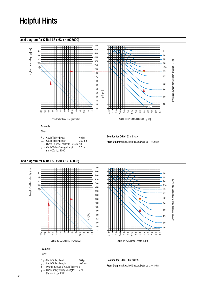### Load diagram for C-Rail 63 x 63 x 4 (025600)



 $(m) = Z \times I_w / 1000$ 



- $F_{LW}$  = Cable Trolley Load: 80 kg<br> $I_{W}$  = Cable Trolley Length: 400 mm l  $I_{w}$  Cable Trolley Length:
- $\overline{Z}$  = Overall number of Cable Trolleys: 5
- l b = Cable Trolley Storage Length: 2 m
- $(m) = Z \times I_w / 1000$

Solution for C-Rail 80 x 80 x 5

**From Diagram:** Required Support Distance  $I_A = 3.6$  m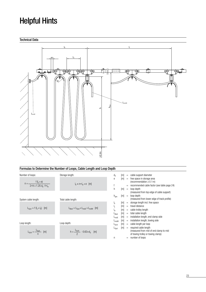

## Formulas to Determine the Number of Loops, Cable Length and Loop Depth

| Number of loops:                                            | Storage length:                                                                     | $d_{a}$                                           | m                       | $=$               | cable support diameter                                                                                                       |
|-------------------------------------------------------------|-------------------------------------------------------------------------------------|---------------------------------------------------|-------------------------|-------------------|------------------------------------------------------------------------------------------------------------------------------|
| $n = \frac{f(l_s + e)}{2 \cdot h + 1.25 d_s - f \cdot l_w}$ | $I_h \approx n \cdot I_w + e$ [m]                                                   | e<br>h                                            | [m]<br>[m]              | $=$<br>$=$<br>$=$ | free space in storage area<br>(recommendation $\geq$ 0.1 m)<br>recommended cable factor (see table page 24)<br>loop depth    |
| System cable length:                                        | Total cable length:                                                                 | $h_{\text{des}}$                                  | m                       |                   | (measured from top edge of cable support)<br>$=$ loop depth<br>(measured from lower edge of track profile)                   |
| $L_{Syst} = f (I_s + I_b)$ [m]                              | $L_{\text{Best}} = L_{\text{Syst}} + L_{\text{instE}} + L_{\text{instM}} \quad [m]$ | ١h<br>ı.<br>w<br>$L_{\mathsf{Best}}$              | m <br>[m]<br>[m]<br>[m] | $=$<br>$=$        | = storage length incl. free space<br>travel distance<br>$=$ cable trolley length<br>total cable length                       |
| Loop length:                                                | Loop depth:                                                                         | $L_{\text{instE}}$<br>L <sub>instM</sub><br>Lschl | [m]<br> m <br> m        | $=$               | installation length, end clamp side<br>$=$ installation length, towing side<br>$=$ cable length per loop                     |
| $L_{SchI} = \frac{L_{Syst}}{L_{S}$<br>[m]                   | $h = \frac{L_{Schl}}{2}$ - 0.63 • $d_a$ [m]                                         | $\mathsf{L}_{\mathsf{Syst}}$<br>n                 | [m]                     | $=$               | $=$ required cable length<br>(measured from mid of end clamp to mid<br>of towing trolley or towing clamp)<br>number of loops |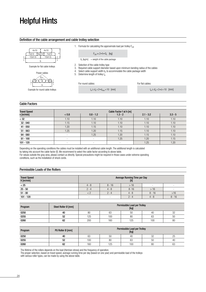### Definition of the cable arrangement and cable trolley selection



### Cable Factors

| <b>Travel Speed</b> |                          |                          | Cable Factor f at h [m] |             |           |
|---------------------|--------------------------|--------------------------|-------------------------|-------------|-----------|
| v [m/min]           | < 0.8                    | $0.8 - 1.2$              | $1.3 - 2$               | $2.1 - 3.2$ | $3.3 - 5$ |
| $<$ 32              | 1.10                     | 1.10                     | 1.10                    | 1.10        | 1.10      |
| $32 - 040$          | 1.15                     | 1.10                     | 1.10                    | 1.10        | 1.10      |
| $41 - 050$          | 1.20                     | 1.15                     | 1.10                    | 1.10        | 1.10      |
| $51 - 063$          | 1.25                     | 1.20                     | 1.15                    | 1.10        | 1.10      |
| $64 - 080$          | ۰                        | 1.25                     | 1.20                    | 1.15        | 1.10      |
| $81 - 100$          | ۰                        | ۰                        | 1.25                    | 1.20        | 1.15      |
| $101 - 120$         | $\overline{\phantom{a}}$ | $\overline{\phantom{a}}$ |                         | 1.25        | 1.20      |

Depending on the operating conditions the cables must be installed with an additional cable length. The additional length is calculated by taking into account the cable factor [f]. We recommend to select the cable factor according to above table.

For values outside the gray area, please contact us directly. Special precautions might be required in those cases under extreme operating conditions, such as the installation of shock cords.

## Permissible Loads of the Rollers

| <b>Travel Speed</b><br>$V$ [m/min] | Average Running Time per Day<br>$[h]$ |                          |          |          |                          |
|------------------------------------|---------------------------------------|--------------------------|----------|----------|--------------------------|
| < 25                               | $4 - 8$                               | $8 - 16$                 | >16      |          |                          |
| $25 - 50$                          | $2 - 4$                               | $4 - 8$                  | $8 - 16$ | >16      | $\overline{\phantom{a}}$ |
| $51 - 80$                          |                                       | $2 - 4$                  | $4 - 8$  | $8 - 16$ | >16                      |
| $101 - 120$                        | $\overline{a}$                        | $\overline{\phantom{a}}$ | $2 - 4$  | $4 - 8$  | $8 - 16$                 |

| Program | Steel Roller Ø [mm] | Permissible Load per Trolley<br>[kg] |     |     |     |    |
|---------|---------------------|--------------------------------------|-----|-----|-----|----|
| 0250    | 40                  | 80                                   | 63  | 50  | 40  | 32 |
| 0255    | 52                  | 125                                  | 100 | 80  | 63  | 50 |
| 0260    | 62                  | 200                                  | 160 | 125 | 100 | 80 |

| Program | PU Roller Ø [mm] | Permissible Load per Trolley<br>[kg] |     |     |    |    |
|---------|------------------|--------------------------------------|-----|-----|----|----|
| 0250    | 40               | 63                                   | 50  | 40  | 32 | 25 |
| 0255    | 52               | 100                                  | 80  | 63  | 50 | 40 |
| 0260    | 62               | 160                                  | 125 | 100 | 80 | 63 |

The lifetime of the rollers depends on the load (Hertzian stress) and the frequency of operation.

The proper selection, based on travel speed, average running time per day (based on one year) and permissible load of the trolleys with various roller types, can be made by using the above table.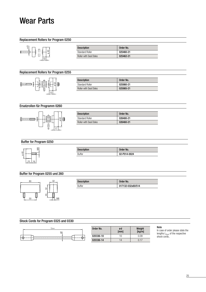## Wear Parts

## Replacement Rollers for Program 0250



| <b>Description</b>            | Order No. |
|-------------------------------|-----------|
| <b>Standard Roller</b>        | 025460-21 |
| <b>Roller with Seal Disks</b> | 025462-21 |

## Replacement Rollers for Program 0255



| <b>Description</b>            | Order No. |
|-------------------------------|-----------|
| <b>Standard Roller</b>        | 025980-21 |
| <b>Roller with Seal Disks</b> | 025985-21 |

## Ersatzrollen für Programm 0260



| <b>Description</b>            | Order No. |
|-------------------------------|-----------|
| Standard Roller               | 026480-21 |
| <b>Roller with Seal Disks</b> | 026460-21 |

## Buffer for Program 0250



| <b>Description</b> | Order No.    |
|--------------------|--------------|
| Buffer             | 02-P014-0024 |

## Buffer for Program 0255 und 260



| <b>Description</b> | Order No.         |
|--------------------|-------------------|
| Buffer             | 017132-032x80/514 |

### Shock Cords for Program 0325 and 0330



| Order No. | ød<br>[mm] | Weight<br>[kg/m] |
|-----------|------------|------------------|
| 020336-10 | 10         | 0.09             |
| 020336-14 | 14         | በ 17             |

Note

In case of order please state the lengths  $L_{Gum}$  of the respective shock cords..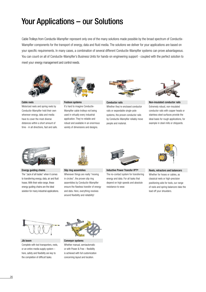## Your Applications – our Solutions

Cable Trolleys from Conductix-Wampfler represent only one of the many solutions made possible by the broad spectrum of Conductix-Wampfler components for the transport of energy, data and fluid media. The solutions we deliver for your applications are based on your specific requirements. In many cases, a combination of several different Conductix-Wampfler systems can prove advantageous. You can count on all of Conductix-Wampfler's Business Units for hands-on engineering support - coupled with the perfect solution to meet your energy management and control needs.



#### Cable reels

Motorized reels and spring reels by Conductix-Wampfler hold their own wherever energy, data and media have to cover the most diverse distances within a short amount of time - in all directions, fast and safe.



Festoon systems

It's hard to imagine Conductix-Wampfler cable trolleys not being used in virtually every industrial application. They're reliable and robust and available in an enormous variety of dimensions and designs.



Conductor rails Whether they're enclosed conductor rails or expandable single-pole systems, the proven conductor rails by Conductix-Wampfler reliably move

people and material.



Non-insulated conductor rails Extremely robust, non-insulated conductor rails with copper heads or stainless steel surfaces provide the ideal basis for rough applications, for example in steel mills or shipyards.



Energy guiding chains The "Jack of all trades" when it comes to transferring energy, data, air and fluid hoses. With their wide range, these energy guiding chains are the ideal solution for many industrial applications.



Slip ring assemblies

Whenever things are really "moving in circles", the proven slip ring assemblies by Conductix-Wampfler ensure the flawless transfer of energy and data. Here, everything revolves around flexibility and reliability!



Inductive Power Transfer IPT® The no-contact system for transferring energy and data. For all tasks that depend on high speeds and absolute resistance to wear.



Reels, retractors and balancers Whether for hoses or cables, as classical reels or high-precision positioning aids for tools, our range of reels and spring balancers take the load off your shoulders.



Jib boom

Complete with tool transporters, reels, or an entire media supply system – here, safety and flexibility are key to the completion of difficult tasks.



Conveyor systems Whether manual, semiautomatic or with Power & Free – flexibility is achieved with full customization concerning layout and location.